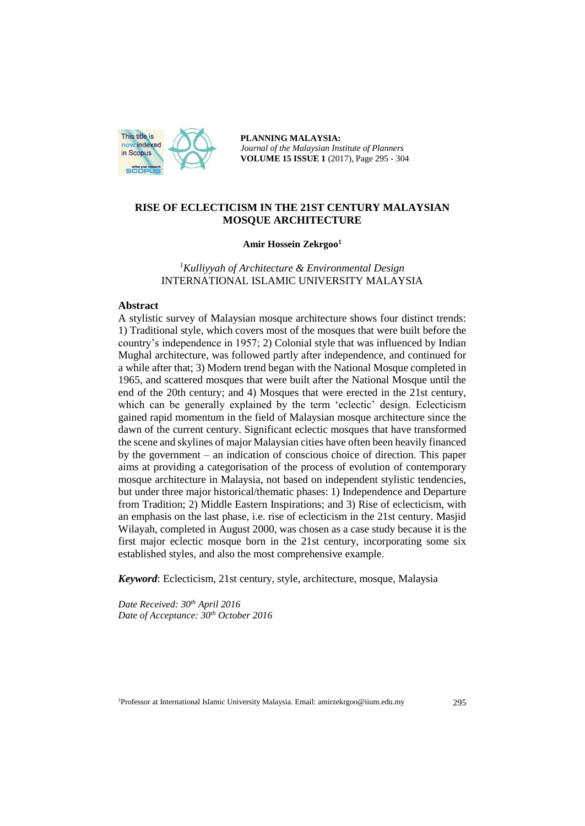

**PLANNING MALAYSIA:** *Journal of the Malaysian Institute of Planners* **VOLUME 15 ISSUE 1** (2017), Page 295 - 304

# **RISE OF ECLECTICISM IN THE 21ST CENTURY MALAYSIAN MOSQUE ARCHITECTURE**

#### **Amir Hossein Zekrgoo<sup>1</sup>**

*<sup>1</sup>Kulliyyah of Architecture & Environmental Design*  INTERNATIONAL ISLAMIC UNIVERSITY MALAYSIA

#### **Abstract**

A stylistic survey of Malaysian mosque architecture shows four distinct trends: 1) Traditional style, which covers most of the mosques that were built before the country's independence in 1957; 2) Colonial style that was influenced by Indian Mughal architecture, was followed partly after independence, and continued for a while after that; 3) Modern trend began with the National Mosque completed in 1965, and scattered mosques that were built after the National Mosque until the end of the 20th century; and 4) Mosques that were erected in the 21st century, which can be generally explained by the term 'eclectic' design. Eclecticism gained rapid momentum in the field of Malaysian mosque architecture since the dawn of the current century. Significant eclectic mosques that have transformed the scene and skylines of major Malaysian cities have often been heavily financed by the government – an indication of conscious choice of direction. This paper aims at providing a categorisation of the process of evolution of contemporary mosque architecture in Malaysia, not based on independent stylistic tendencies, but under three major historical/thematic phases: 1) Independence and Departure from Tradition; 2) Middle Eastern Inspirations; and 3) Rise of eclecticism, with an emphasis on the last phase, i.e. rise of eclecticism in the 21st century. Masjid Wilayah, completed in August 2000, was chosen as a case study because it is the first major eclectic mosque born in the 21st century, incorporating some six established styles, and also the most comprehensive example.

*Keyword*: Eclecticism, 21st century, style, architecture, mosque, Malaysia

*Date Received: 30th April 2016 Date of Acceptance: 30th October 2016*

<sup>1</sup>Professor at International Islamic University Malaysia. Email: amirzekrgoo@iium.edu.my 295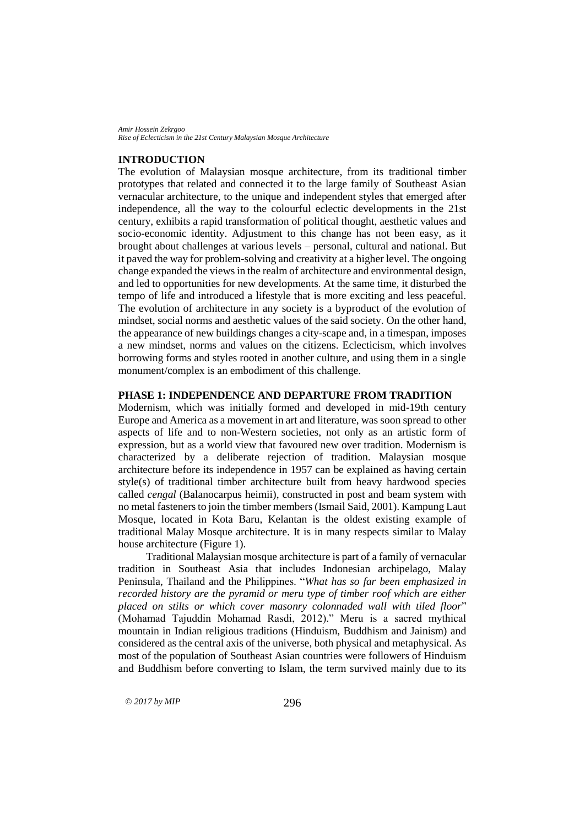#### **INTRODUCTION**

The evolution of Malaysian mosque architecture, from its traditional timber prototypes that related and connected it to the large family of Southeast Asian vernacular architecture, to the unique and independent styles that emerged after independence, all the way to the colourful eclectic developments in the 21st century, exhibits a rapid transformation of political thought, aesthetic values and socio-economic identity. Adjustment to this change has not been easy, as it brought about challenges at various levels – personal, cultural and national. But it paved the way for problem-solving and creativity at a higher level. The ongoing change expanded the views in the realm of architecture and environmental design, and led to opportunities for new developments. At the same time, it disturbed the tempo of life and introduced a lifestyle that is more exciting and less peaceful. The evolution of architecture in any society is a byproduct of the evolution of mindset, social norms and aesthetic values of the said society. On the other hand, the appearance of new buildings changes a city-scape and, in a timespan, imposes a new mindset, norms and values on the citizens. Eclecticism, which involves borrowing forms and styles rooted in another culture, and using them in a single monument/complex is an embodiment of this challenge.

## **PHASE 1: INDEPENDENCE AND DEPARTURE FROM TRADITION**

Modernism, which was initially formed and developed in mid-19th century Europe and America as a movement in art and literature, was soon spread to other aspects of life and to non-Western societies, not only as an artistic form of expression, but as a world view that favoured new over tradition. Modernism is characterized by a deliberate rejection of tradition. Malaysian mosque architecture before its independence in 1957 can be explained as having certain style(s) of traditional timber architecture built from heavy hardwood species called *cengal* (Balanocarpus heimii), constructed in post and beam system with no metal fasteners to join the timber members (Ismail Said, 2001). Kampung Laut Mosque, located in Kota Baru, Kelantan is the oldest existing example of traditional Malay Mosque architecture. It is in many respects similar to Malay house architecture (Figure 1).

Traditional Malaysian mosque architecture is part of a family of vernacular tradition in Southeast Asia that includes Indonesian archipelago, Malay Peninsula, Thailand and the Philippines. "*What has so far been emphasized in recorded history are the pyramid or meru type of timber roof which are either placed on stilts or which cover masonry colonnaded wall with tiled floor*" (Mohamad Tajuddin Mohamad Rasdi, 2012)." Meru is a sacred mythical mountain in Indian religious traditions (Hinduism, Buddhism and Jainism) and considered as the central axis of the universe, both physical and metaphysical. As most of the population of Southeast Asian countries were followers of Hinduism and Buddhism before converting to Islam, the term survived mainly due to its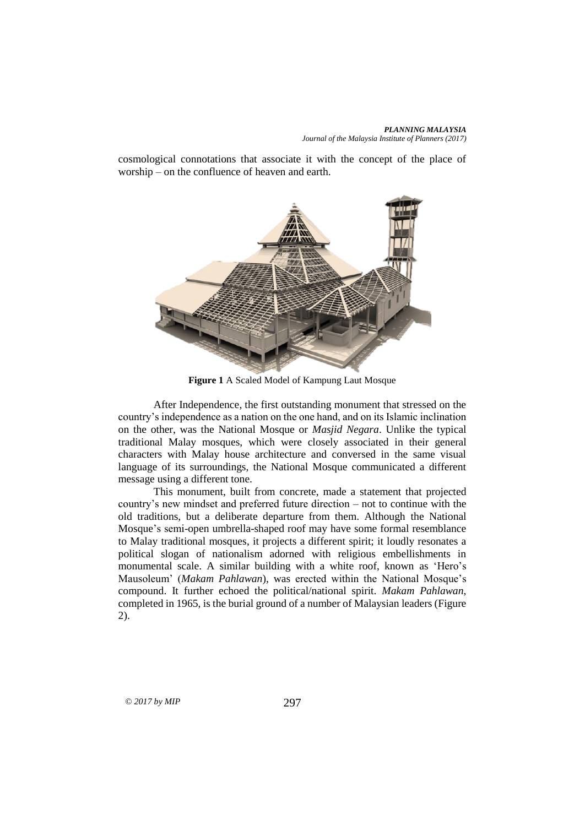cosmological connotations that associate it with the concept of the place of worship – on the confluence of heaven and earth.



**Figure 1** A Scaled Model of Kampung Laut Mosque

After Independence, the first outstanding monument that stressed on the country's independence as a nation on the one hand, and on its Islamic inclination on the other, was the National Mosque or *Masjid Negara*. Unlike the typical traditional Malay mosques, which were closely associated in their general characters with Malay house architecture and conversed in the same visual language of its surroundings, the National Mosque communicated a different message using a different tone.

This monument, built from concrete, made a statement that projected country's new mindset and preferred future direction – not to continue with the old traditions, but a deliberate departure from them. Although the National Mosque's semi-open umbrella-shaped roof may have some formal resemblance to Malay traditional mosques, it projects a different spirit; it loudly resonates a political slogan of nationalism adorned with religious embellishments in monumental scale. A similar building with a white roof, known as 'Hero's Mausoleum' (*Makam Pahlawan*), was erected within the National Mosque's compound. It further echoed the political/national spirit. *Makam Pahlawan*, completed in 1965, is the burial ground of a number of Malaysian leaders (Figure 2).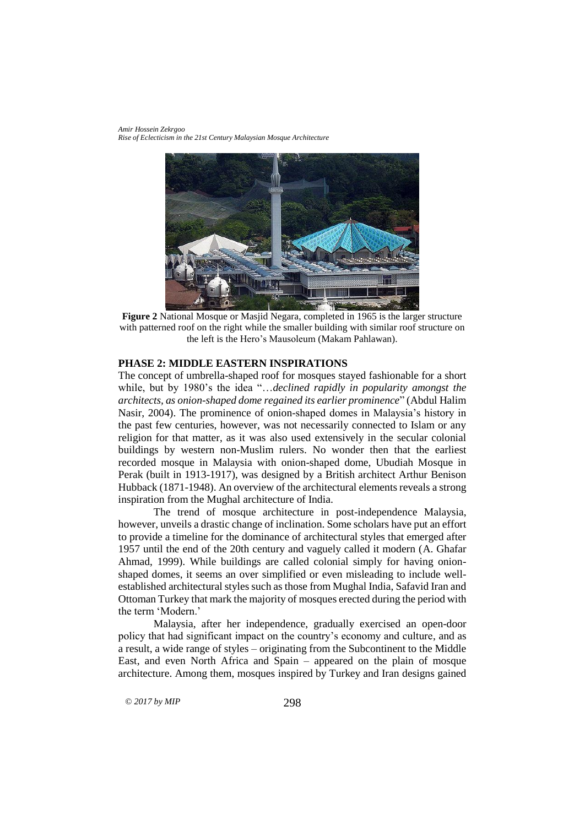*Amir Hossein Zekrgoo Rise of Eclecticism in the 21st Century Malaysian Mosque Architecture*



**Figure 2** National Mosque or Masjid Negara, completed in 1965 is the larger structure with patterned roof on the right while the smaller building with similar roof structure on the left is the Hero's Mausoleum (Makam Pahlawan).

# **PHASE 2: MIDDLE EASTERN INSPIRATIONS**

The concept of umbrella-shaped roof for mosques stayed fashionable for a short while, but by 1980's the idea "…*declined rapidly in popularity amongst the architects, as onion-shaped dome regained its earlier prominence*" (Abdul Halim Nasir, 2004). The prominence of onion-shaped domes in Malaysia's history in the past few centuries, however, was not necessarily connected to Islam or any religion for that matter, as it was also used extensively in the secular colonial buildings by western non-Muslim rulers. No wonder then that the earliest recorded mosque in Malaysia with onion-shaped dome, Ubudiah Mosque in Perak (built in 1913-1917), was designed by a British architect Arthur Benison Hubback (1871-1948). An overview of the architectural elements reveals a strong inspiration from the Mughal architecture of India.

The trend of mosque architecture in post-independence Malaysia, however, unveils a drastic change of inclination. Some scholars have put an effort to provide a timeline for the dominance of architectural styles that emerged after 1957 until the end of the 20th century and vaguely called it modern (A. Ghafar Ahmad, 1999). While buildings are called colonial simply for having onionshaped domes, it seems an over simplified or even misleading to include wellestablished architectural styles such as those from Mughal India, Safavid Iran and Ottoman Turkey that mark the majority of mosques erected during the period with the term 'Modern.'

Malaysia, after her independence, gradually exercised an open-door policy that had significant impact on the country's economy and culture, and as a result, a wide range of styles – originating from the Subcontinent to the Middle East, and even North Africa and Spain – appeared on the plain of mosque architecture. Among them, mosques inspired by Turkey and Iran designs gained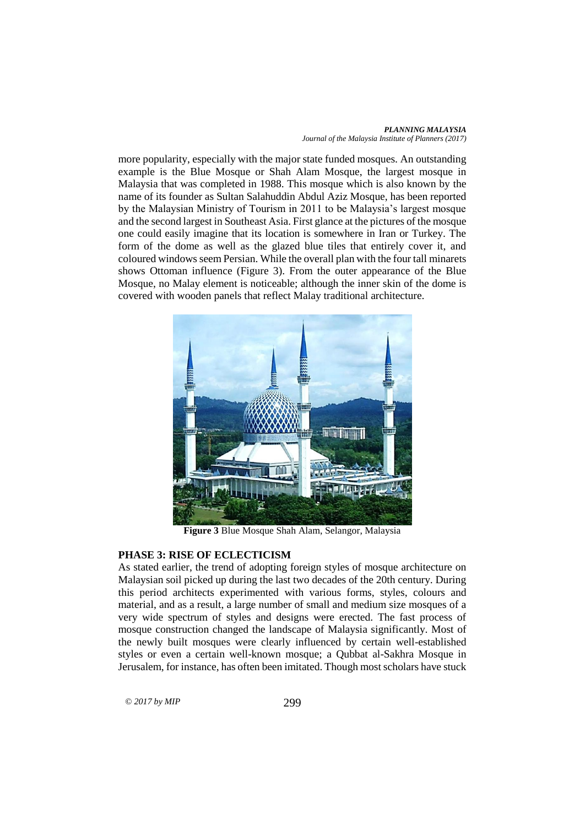*PLANNING MALAYSIA Journal of the Malaysia Institute of Planners (2017)*

more popularity, especially with the major state funded mosques. An outstanding example is the Blue Mosque or Shah Alam Mosque, the largest mosque in Malaysia that was completed in 1988. This mosque which is also known by the name of its founder as Sultan Salahuddin Abdul Aziz Mosque, has been reported by the Malaysian Ministry of Tourism in 2011 to be Malaysia's largest mosque and the second largest in Southeast Asia. First glance at the pictures of the mosque one could easily imagine that its location is somewhere in Iran or Turkey. The form of the dome as well as the glazed blue tiles that entirely cover it, and coloured windows seem Persian. While the overall plan with the four tall minarets shows Ottoman influence (Figure 3). From the outer appearance of the Blue Mosque, no Malay element is noticeable; although the inner skin of the dome is covered with wooden panels that reflect Malay traditional architecture.



**Figure 3** Blue Mosque Shah Alam, Selangor, Malaysia

## **PHASE 3: RISE OF ECLECTICISM**

As stated earlier, the trend of adopting foreign styles of mosque architecture on Malaysian soil picked up during the last two decades of the 20th century. During this period architects experimented with various forms, styles, colours and material, and as a result, a large number of small and medium size mosques of a very wide spectrum of styles and designs were erected. The fast process of mosque construction changed the landscape of Malaysia significantly. Most of the newly built mosques were clearly influenced by certain well-established styles or even a certain well-known mosque; a Qubbat al-Sakhra Mosque in Jerusalem, for instance, has often been imitated. Though most scholars have stuck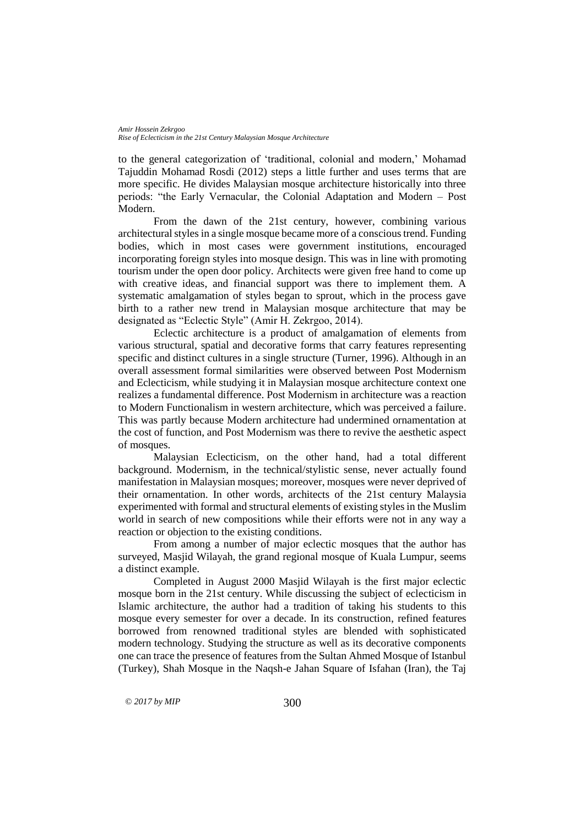to the general categorization of 'traditional, colonial and modern,' Mohamad Tajuddin Mohamad Rosdi (2012) steps a little further and uses terms that are more specific. He divides Malaysian mosque architecture historically into three periods: "the Early Vernacular, the Colonial Adaptation and Modern – Post Modern.

From the dawn of the 21st century, however, combining various architectural styles in a single mosque became more of a conscious trend. Funding bodies, which in most cases were government institutions, encouraged incorporating foreign styles into mosque design. This was in line with promoting tourism under the open door policy. Architects were given free hand to come up with creative ideas, and financial support was there to implement them. A systematic amalgamation of styles began to sprout, which in the process gave birth to a rather new trend in Malaysian mosque architecture that may be designated as "Eclectic Style" (Amir H. Zekrgoo, 2014).

Eclectic architecture is a product of amalgamation of elements from various structural, spatial and decorative forms that carry features representing specific and distinct cultures in a single structure (Turner, 1996). Although in an overall assessment formal similarities were observed between Post Modernism and Eclecticism, while studying it in Malaysian mosque architecture context one realizes a fundamental difference. Post Modernism in architecture was a reaction to Modern Functionalism in western architecture, which was perceived a failure. This was partly because Modern architecture had undermined ornamentation at the cost of function, and Post Modernism was there to revive the aesthetic aspect of mosques.

Malaysian Eclecticism, on the other hand, had a total different background. Modernism, in the technical/stylistic sense, never actually found manifestation in Malaysian mosques; moreover, mosques were never deprived of their ornamentation. In other words, architects of the 21st century Malaysia experimented with formal and structural elements of existing styles in the Muslim world in search of new compositions while their efforts were not in any way a reaction or objection to the existing conditions.

From among a number of major eclectic mosques that the author has surveyed, Masjid Wilayah, the grand regional mosque of Kuala Lumpur, seems a distinct example.

Completed in August 2000 Masjid Wilayah is the first major eclectic mosque born in the 21st century. While discussing the subject of eclecticism in Islamic architecture, the author had a tradition of taking his students to this mosque every semester for over a decade. In its construction, refined features borrowed from renowned traditional styles are blended with sophisticated modern technology. Studying the structure as well as its decorative components one can trace the presence of features from the Sultan Ahmed Mosque of Istanbul (Turkey), Shah Mosque in the Naqsh-e Jahan Square of Isfahan (Iran), the Taj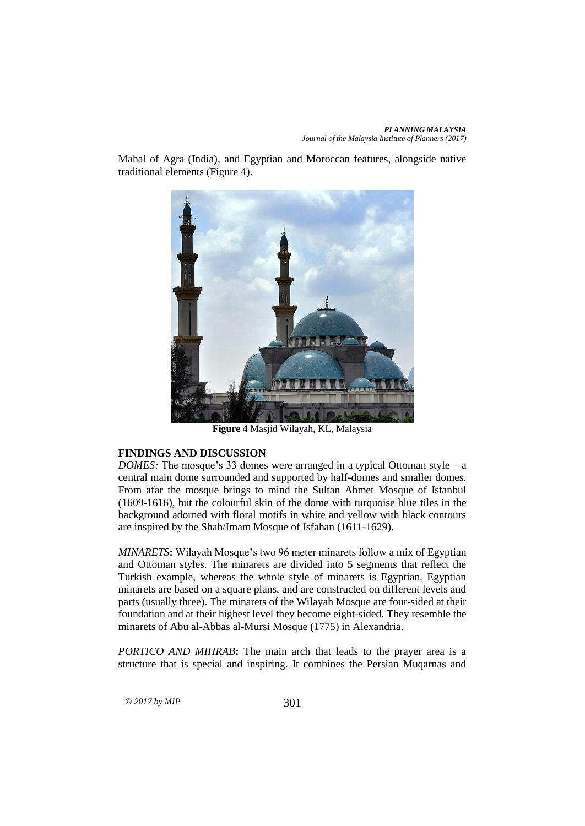Mahal of Agra (India), and Egyptian and Moroccan features, alongside native traditional elements (Figure 4).



**Figure 4** Masjid Wilayah, KL, Malaysia

# **FINDINGS AND DISCUSSION**

*DOMES:* The mosque's 33 domes were arranged in a typical Ottoman style – a central main dome surrounded and supported by half-domes and smaller domes. From afar the mosque brings to mind the Sultan Ahmet Mosque of Istanbul (1609-1616), but the colourful skin of the dome with turquoise blue tiles in the background adorned with floral motifs in white and yellow with black contours are inspired by the Shah/Imam Mosque of Isfahan (1611-1629).

*MINARETS***:** Wilayah Mosque's two 96 meter minarets follow a mix of Egyptian and Ottoman styles. The minarets are divided into 5 segments that reflect the Turkish example, whereas the whole style of minarets is Egyptian. Egyptian minarets are based on a square plans, and are constructed on different levels and parts (usually three). The minarets of the Wilayah Mosque are four-sided at their foundation and at their highest level they become eight-sided. They resemble the minarets of Abu al-Abbas al-Mursi Mosque (1775) in Alexandria.

*PORTICO AND MIHRAB***:** The main arch that leads to the prayer area is a structure that is special and inspiring. It combines the Persian Muqarnas and

 $\odot$  2017 by MIP 301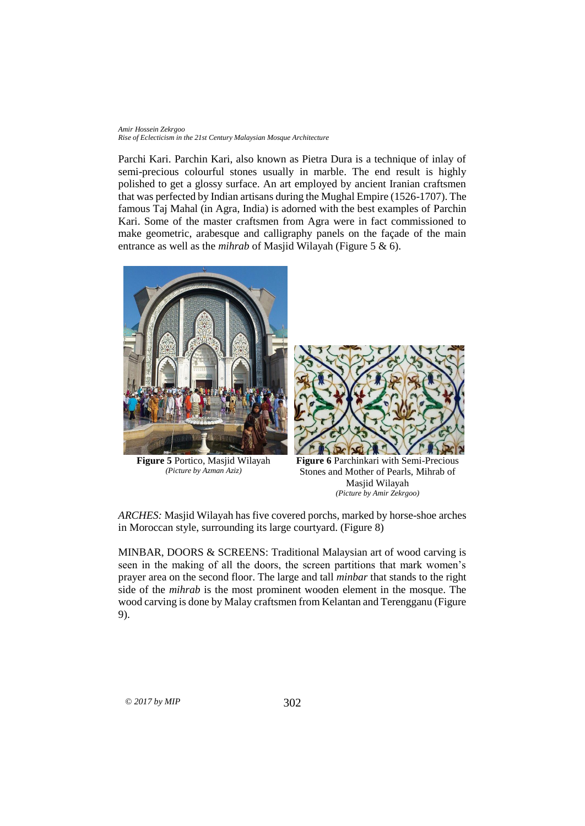Parchi Kari. Parchin Kari, also known as Pietra Dura is a technique of inlay of semi-precious colourful stones usually in marble. The end result is highly polished to get a glossy surface. An art employed by ancient Iranian craftsmen that was perfected by Indian artisans during the Mughal Empire (1526-1707). The famous Taj Mahal (in Agra, India) is adorned with the best examples of Parchin Kari. Some of the master craftsmen from Agra were in fact commissioned to make geometric, arabesque and calligraphy panels on the façade of the main entrance as well as the *mihrab* of Masjid Wilayah (Figure 5 & 6).



**Figure 5** Portico, Masjid Wilayah *(Picture by Azman Aziz)*



**Figure 6** Parchinkari with Semi-Precious Stones and Mother of Pearls, Mihrab of Masjid Wilayah *(Picture by Amir Zekrgoo)*

*ARCHES:* Masjid Wilayah has five covered porchs, marked by horse-shoe arches in Moroccan style, surrounding its large courtyard. (Figure 8)

MINBAR, DOORS & SCREENS: Traditional Malaysian art of wood carving is seen in the making of all the doors, the screen partitions that mark women's prayer area on the second floor. The large and tall *minbar* that stands to the right side of the *mihrab* is the most prominent wooden element in the mosque. The wood carving is done by Malay craftsmen from Kelantan and Terengganu (Figure 9).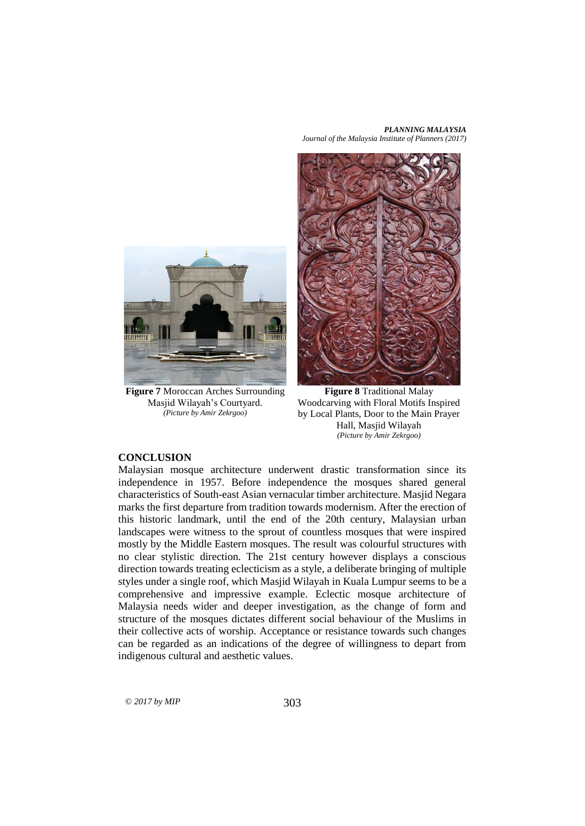*PLANNING MALAYSIA Journal of the Malaysia Institute of Planners (2017)*



**Figure 7** Moroccan Arches Surrounding Masjid Wilayah's Courtyard. *(Picture by Amir Zekrgoo)*



**Figure 8** Traditional Malay Woodcarving with Floral Motifs Inspired by Local Plants, Door to the Main Prayer Hall, Masjid Wilayah *(Picture by Amir Zekrgoo)*

### **CONCLUSION**

Malaysian mosque architecture underwent drastic transformation since its independence in 1957. Before independence the mosques shared general characteristics of South-east Asian vernacular timber architecture. Masjid Negara marks the first departure from tradition towards modernism. After the erection of this historic landmark, until the end of the 20th century, Malaysian urban landscapes were witness to the sprout of countless mosques that were inspired mostly by the Middle Eastern mosques. The result was colourful structures with no clear stylistic direction. The 21st century however displays a conscious direction towards treating eclecticism as a style, a deliberate bringing of multiple styles under a single roof, which Masjid Wilayah in Kuala Lumpur seems to be a comprehensive and impressive example. Eclectic mosque architecture of Malaysia needs wider and deeper investigation, as the change of form and structure of the mosques dictates different social behaviour of the Muslims in their collective acts of worship. Acceptance or resistance towards such changes can be regarded as an indications of the degree of willingness to depart from indigenous cultural and aesthetic values.